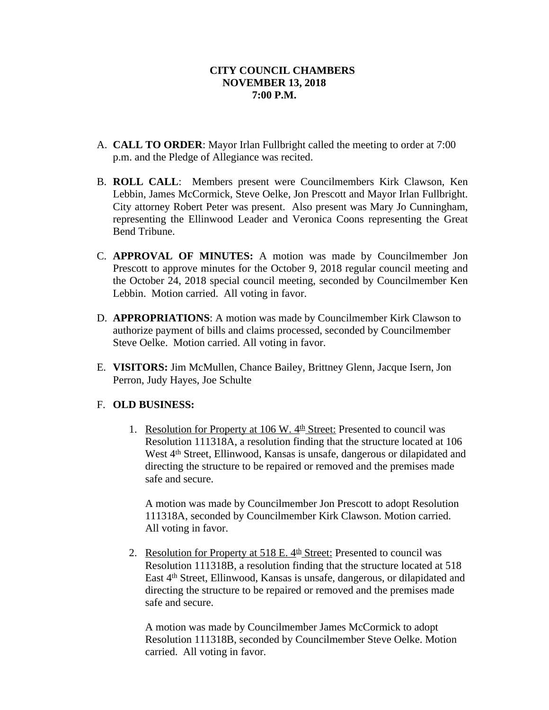- A. **CALL TO ORDER**: Mayor Irlan Fullbright called the meeting to order at 7:00 p.m. and the Pledge of Allegiance was recited.
- B. **ROLL CALL**: Members present were Councilmembers Kirk Clawson, Ken Lebbin, James McCormick, Steve Oelke, Jon Prescott and Mayor Irlan Fullbright. City attorney Robert Peter was present. Also present was Mary Jo Cunningham, representing the Ellinwood Leader and Veronica Coons representing the Great Bend Tribune.
- C. **APPROVAL OF MINUTES:** A motion was made by Councilmember Jon Prescott to approve minutes for the October 9, 2018 regular council meeting and the October 24, 2018 special council meeting, seconded by Councilmember Ken Lebbin. Motion carried. All voting in favor.
- D. **APPROPRIATIONS**: A motion was made by Councilmember Kirk Clawson to authorize payment of bills and claims processed, seconded by Councilmember Steve Oelke. Motion carried. All voting in favor.
- E. **VISITORS:** Jim McMullen, Chance Bailey, Brittney Glenn, Jacque Isern, Jon Perron, Judy Hayes, Joe Schulte

# F. **OLD BUSINESS:**

1. Resolution for Property at 106 W.  $4<sup>th</sup>$  Street: Presented to council was Resolution 111318A, a resolution finding that the structure located at 106 West 4<sup>th</sup> Street, Ellinwood, Kansas is unsafe, dangerous or dilapidated and directing the structure to be repaired or removed and the premises made safe and secure.

A motion was made by Councilmember Jon Prescott to adopt Resolution 111318A, seconded by Councilmember Kirk Clawson. Motion carried. All voting in favor.

2. Resolution for Property at  $518$  E.  $4<sup>th</sup>$  Street: Presented to council was Resolution 111318B, a resolution finding that the structure located at 518 East 4th Street, Ellinwood, Kansas is unsafe, dangerous, or dilapidated and directing the structure to be repaired or removed and the premises made safe and secure.

A motion was made by Councilmember James McCormick to adopt Resolution 111318B, seconded by Councilmember Steve Oelke. Motion carried. All voting in favor.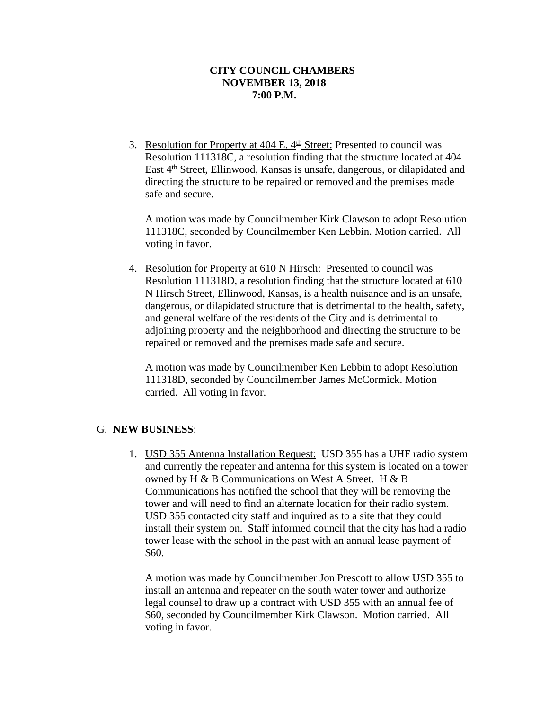3. Resolution for Property at  $404$  E.  $4<sup>th</sup>$  Street: Presented to council was Resolution 111318C, a resolution finding that the structure located at 404 East 4th Street, Ellinwood, Kansas is unsafe, dangerous, or dilapidated and directing the structure to be repaired or removed and the premises made safe and secure.

A motion was made by Councilmember Kirk Clawson to adopt Resolution 111318C, seconded by Councilmember Ken Lebbin. Motion carried. All voting in favor.

4. Resolution for Property at 610 N Hirsch: Presented to council was Resolution 111318D, a resolution finding that the structure located at 610 N Hirsch Street, Ellinwood, Kansas, is a health nuisance and is an unsafe, dangerous, or dilapidated structure that is detrimental to the health, safety, and general welfare of the residents of the City and is detrimental to adjoining property and the neighborhood and directing the structure to be repaired or removed and the premises made safe and secure.

A motion was made by Councilmember Ken Lebbin to adopt Resolution 111318D, seconded by Councilmember James McCormick. Motion carried. All voting in favor.

#### G. **NEW BUSINESS**:

1. USD 355 Antenna Installation Request: USD 355 has a UHF radio system and currently the repeater and antenna for this system is located on a tower owned by H & B Communications on West A Street. H & B Communications has notified the school that they will be removing the tower and will need to find an alternate location for their radio system. USD 355 contacted city staff and inquired as to a site that they could install their system on. Staff informed council that the city has had a radio tower lease with the school in the past with an annual lease payment of \$60.

A motion was made by Councilmember Jon Prescott to allow USD 355 to install an antenna and repeater on the south water tower and authorize legal counsel to draw up a contract with USD 355 with an annual fee of \$60, seconded by Councilmember Kirk Clawson. Motion carried. All voting in favor.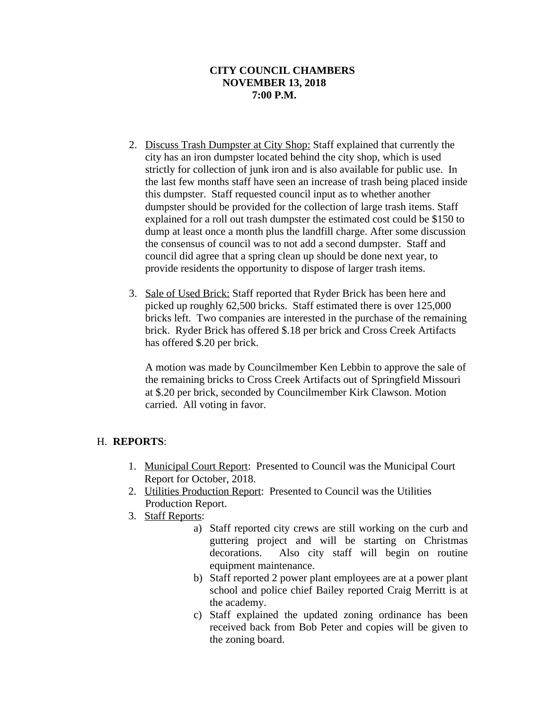- 2. Discuss Trash Dumpster at City Shop: Staff explained that currently the city has an iron dumpster located behind the city shop, which is used strictly for collection of junk iron and is also available for public use. In the last few months staff have seen an increase of trash being placed inside this dumpster. Staff requested council input as to whether another dumpster should be provided for the collection of large trash items. Staff explained for a roll out trash dumpster the estimated cost could be \$150 to dump at least once a month plus the landfill charge. After some discussion the consensus of council was to not add a second dumpster. Staff and council did agree that a spring clean up should be done next year, to provide residents the opportunity to dispose of larger trash items.
- 3. Sale of Used Brick: Staff reported that Ryder Brick has been here and picked up roughly 62,500 bricks. Staff estimated there is over 125,000 bricks left. Two companies are interested in the purchase of the remaining brick. Ryder Brick has offered \$.18 per brick and Cross Creek Artifacts has offered \$.20 per brick.

A motion was made by Councilmember Ken Lebbin to approve the sale of the remaining bricks to Cross Creek Artifacts out of Springfield Missouri at \$.20 per brick, seconded by Councilmember Kirk Clawson. Motion carried. All voting in favor.

# H. **REPORTS**:

- 1. Municipal Court Report: Presented to Council was the Municipal Court Report for October, 2018.
- 2. Utilities Production Report: Presented to Council was the Utilities Production Report.
- 3. Staff Reports:
	- a) Staff reported city crews are still working on the curb and guttering project and will be starting on Christmas decorations. Also city staff will begin on routine equipment maintenance.
	- b) Staff reported 2 power plant employees are at a power plant school and police chief Bailey reported Craig Merritt is at the academy.
	- c) Staff explained the updated zoning ordinance has been received back from Bob Peter and copies will be given to the zoning board.